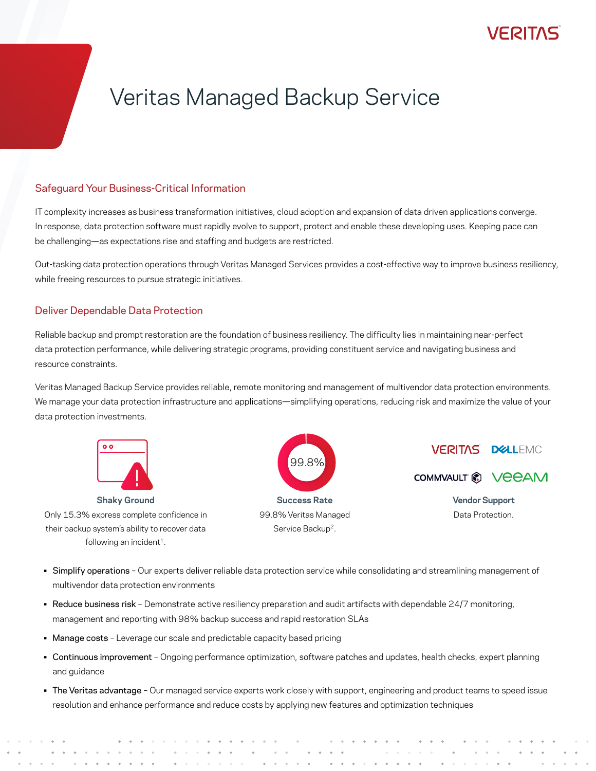## Veritas Managed Backup Service

### Safeguard Your Business-Critical Information

IT complexity increases as business transformation initiatives, cloud adoption and expansion of data driven applications converge. In response, data protection software must rapidly evolve to support, protect and enable these developing uses. Keeping pace can be challenging—as expectations rise and staffing and budgets are restricted.

Out-tasking data protection operations through Veritas Managed Services provides a cost-effective way to improve business resiliency, while freeing resources to pursue strategic initiatives.

### Deliver Dependable Data Protection

Reliable backup and prompt restoration are the foundation of business resiliency. The difficulty lies in maintaining near-perfect data protection performance, while delivering strategic programs, providing constituent service and navigating business and resource constraints.

Veritas Managed Backup Service provides reliable, remote monitoring and management of multivendor data protection environments. We manage your data protection infrastructure and applications—simplifying operations, reducing risk and maximize the value of your data protection investments.



**Shaky Ground** Only 15.3% express complete confidence in their backup system's ability to recover data following an incident<sup>1</sup>.





COMMVAULT & VEEAM

**Vendor Support** Data Protection.

- Simplify operations Our experts deliver reliable data protection service while consolidating and streamlining management of multivendor data protection environments
- Reduce business risk Demonstrate active resiliency preparation and audit artifacts with dependable 24/7 monitoring, management and reporting with 98% backup success and rapid restoration SLAs
- Manage costs Leverage our scale and predictable capacity based pricing
- Continuous improvement Ongoing performance optimization, software patches and updates, health checks, expert planning and guidance
- The Veritas advantage Our managed service experts work closely with support, engineering and product teams to speed issue resolution and enhance performance and reduce costs by applying new features and optimization techniques